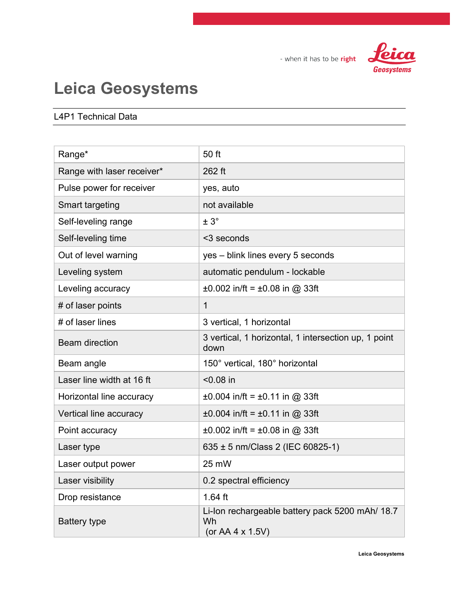Leica Geosystems

## - when it has to be right

## Leica Geosystems

## L4P1 Technical Data

| Range*                     | 50 ft                                                                     |
|----------------------------|---------------------------------------------------------------------------|
| Range with laser receiver* | 262 ft                                                                    |
| Pulse power for receiver   | yes, auto                                                                 |
| <b>Smart targeting</b>     | not available                                                             |
| Self-leveling range        | $± 3^\circ$                                                               |
| Self-leveling time         | <3 seconds                                                                |
| Out of level warning       | yes - blink lines every 5 seconds                                         |
| Leveling system            | automatic pendulum - lockable                                             |
| Leveling accuracy          | $\pm 0.002$ in/ft = $\pm 0.08$ in @ 33ft                                  |
| # of laser points          | $\mathbf{1}$                                                              |
| # of laser lines           | 3 vertical, 1 horizontal                                                  |
| <b>Beam direction</b>      | 3 vertical, 1 horizontal, 1 intersection up, 1 point<br>down              |
| Beam angle                 | 150° vertical, 180° horizontal                                            |
| Laser line width at 16 ft  | $< 0.08$ in                                                               |
| Horizontal line accuracy   | $\pm 0.004$ in/ft = $\pm 0.11$ in @ 33ft                                  |
| Vertical line accuracy     | $\pm 0.004$ in/ft = $\pm 0.11$ in @ 33ft                                  |
| Point accuracy             | $\pm 0.002$ in/ft = $\pm 0.08$ in @ 33ft                                  |
| Laser type                 | 635 ± 5 nm/Class 2 (IEC 60825-1)                                          |
| Laser output power         | 25 mW                                                                     |
| Laser visibility           | 0.2 spectral efficiency                                                   |
| Drop resistance            | $1.64$ ft                                                                 |
| <b>Battery type</b>        | Li-Ion rechargeable battery pack 5200 mAh/ 18.7<br>Wh<br>(or AA 4 x 1.5V) |